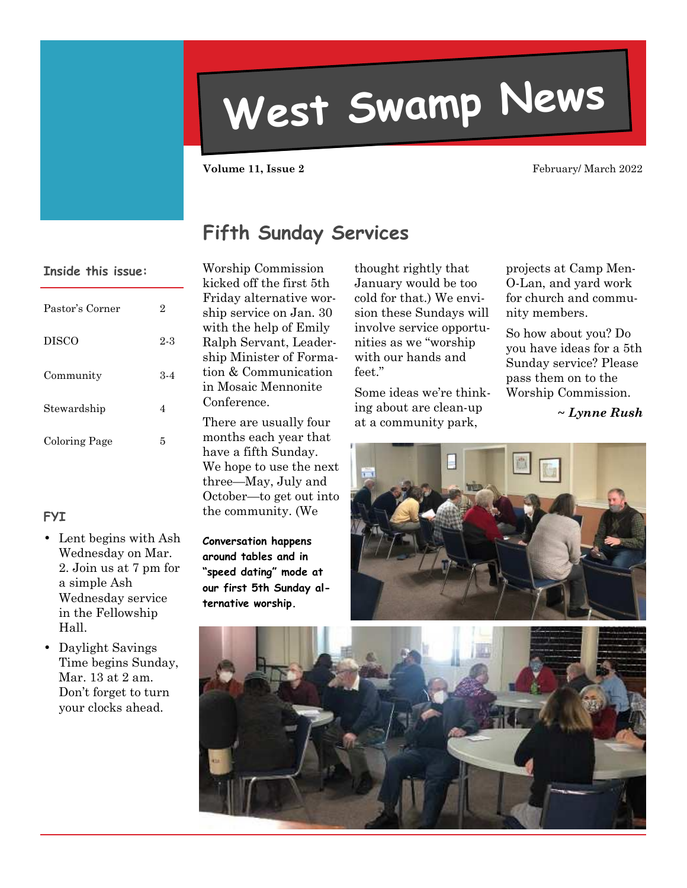# **West Swamp News**

**Volume 11, Issue 2 February/ March 2022** 

# **Fifth Sunday Services**

#### **Inside this issue:**

| Pastor's Corner | 2     |
|-----------------|-------|
| <b>DISCO</b>    | $2-3$ |
| Community       | 3-4   |
| Stewardship     | 4     |
| Coloring Page   | 5     |
|                 |       |

#### **FYI**

- Lent begins with Ash Wednesday on Mar. 2. Join us at 7 pm for a simple Ash Wednesday service in the Fellowship Hall.
- Daylight Savings Time begins Sunday, Mar. 13 at 2 am. Don't forget to turn your clocks ahead.

Worship Commission kicked off the first 5th Friday alternative worship service on Jan. 30 with the help of Emily Ralph Servant, Leadership Minister of Formation & Communication in Mosaic Mennonite Conference.

There are usually four months each year that have a fifth Sunday. We hope to use the next three—May, July and October—to get out into the community. (We

**Conversation happens around tables and in "speed dating" mode at our first 5th Sunday alternative worship.** 

thought rightly that January would be too cold for that.) We envision these Sundays will involve service opportunities as we "worship with our hands and feet."

Some ideas we're thinking about are clean-up at a community park,

projects at Camp Men-O-Lan, and yard work for church and community members.

So how about you? Do you have ideas for a 5th Sunday service? Please pass them on to the Worship Commission.

*~ Lynne Rush*



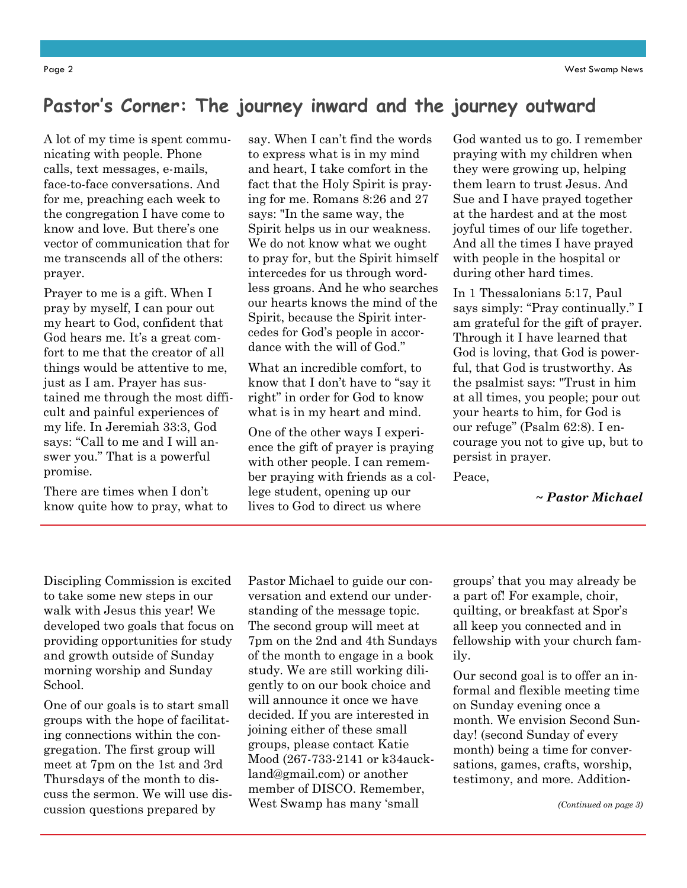#### **Pastor's Corner: The journey inward and the journey outward**

A lot of my time is spent communicating with people. Phone calls, text messages, e-mails, face-to-face conversations. And for me, preaching each week to the congregation I have come to know and love. But there's one vector of communication that for me transcends all of the others: prayer.

Prayer to me is a gift. When I pray by myself, I can pour out my heart to God, confident that God hears me. It's a great comfort to me that the creator of all things would be attentive to me, just as I am. Prayer has sustained me through the most difficult and painful experiences of my life. In Jeremiah 33:3, God says: "Call to me and I will answer you." That is a powerful promise.

There are times when I don't know quite how to pray, what to say. When I can't find the words to express what is in my mind and heart, I take comfort in the fact that the Holy Spirit is praying for me. Romans 8:26 and 27 says: "In the same way, the Spirit helps us in our weakness. We do not know what we ought to pray for, but the Spirit himself intercedes for us through wordless groans. And he who searches our hearts knows the mind of the Spirit, because the Spirit intercedes for God's people in accordance with the will of God."

What an incredible comfort, to know that I don't have to "say it right" in order for God to know what is in my heart and mind.

One of the other ways I experience the gift of prayer is praying with other people. I can remember praying with friends as a college student, opening up our lives to God to direct us where

God wanted us to go. I remember praying with my children when they were growing up, helping them learn to trust Jesus. And Sue and I have prayed together at the hardest and at the most joyful times of our life together. And all the times I have prayed with people in the hospital or during other hard times.

In 1 Thessalonians 5:17, Paul says simply: "Pray continually." I am grateful for the gift of prayer. Through it I have learned that God is loving, that God is powerful, that God is trustworthy. As the psalmist says: "Trust in him at all times, you people; pour out your hearts to him, for God is our refuge" (Psalm 62:8). I encourage you not to give up, but to persist in prayer.

Peace,

#### *~ Pastor Michael*

Discipling Commission is excited to take some new steps in our walk with Jesus this year! We developed two goals that focus on providing opportunities for study and growth outside of Sunday morning worship and Sunday School.

One of our goals is to start small groups with the hope of facilitating connections within the congregation. The first group will meet at 7pm on the 1st and 3rd Thursdays of the month to discuss the sermon. We will use discussion questions prepared by

Pastor Michael to guide our conversation and extend our understanding of the message topic. The second group will meet at 7pm on the 2nd and 4th Sundays of the month to engage in a book study. We are still working diligently to on our book choice and will announce it once we have decided. If you are interested in joining either of these small groups, please contact Katie Mood (267-733-2141 or k34auckland@gmail.com) or another member of DISCO. Remember, West Swamp has many 'small

groups' that you may already be a part of! For example, choir, quilting, or breakfast at Spor's all keep you connected and in fellowship with your church family.

Our second goal is to offer an informal and flexible meeting time on Sunday evening once a month. We envision Second Sunday! (second Sunday of every month) being a time for conversations, games, crafts, worship, testimony, and more. Addition-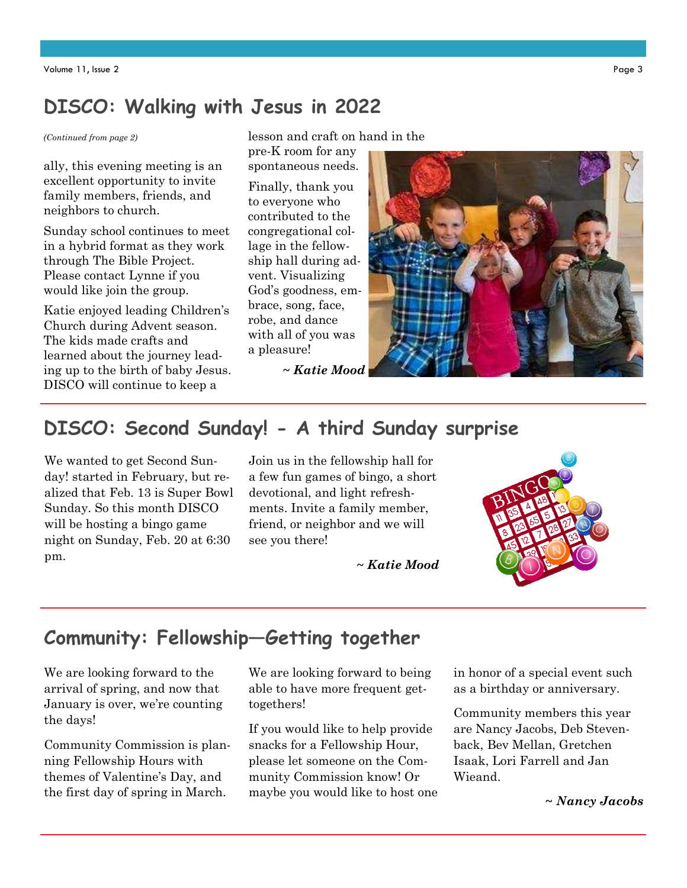# **DISCO: Walking with Jesus in 2022**

ally, this evening meeting is an excellent opportunity to invite family members, friends, and neighbors to church.

Sunday school continues to meet in a hybrid format as they work through The Bible Project. Please contact Lynne if you would like join the group.

Katie enjoyed leading Children's Church during Advent season. The kids made crafts and learned about the journey leading up to the birth of baby Jesus. DISCO will continue to keep a

*(Continued from page 2)* lesson and craft on hand in the

pre-K room for any spontaneous needs.

Finally, thank you to everyone who contributed to the congregational collage in the fellowship hall during advent. Visualizing God's goodness, embrace, song, face, robe, and dance with all of you was a pleasure!

*~ Katie Mood*



# **DISCO: Second Sunday! - A third Sunday surprise**

We wanted to get Second Sunday! started in February, but realized that Feb. 13 is Super Bowl Sunday. So this month DISCO will be hosting a bingo game night on Sunday, Feb. 20 at 6:30 pm.

Join us in the fellowship hall for a few fun games of bingo, a short devotional, and light refreshments. Invite a family member, friend, or neighbor and we will see you there!

*~ Katie Mood*



## **Community: Fellowship—Getting together**

We are looking forward to the arrival of spring, and now that January is over, we're counting the days!

Community Commission is planning Fellowship Hours with themes of Valentine's Day, and the first day of spring in March.

We are looking forward to being able to have more frequent gettogethers!

If you would like to help provide snacks for a Fellowship Hour, please let someone on the Community Commission know! Or maybe you would like to host one in honor of a special event such as a birthday or anniversary.

Community members this year are Nancy Jacobs, Deb Stevenback, Bev Mellan, Gretchen Isaak, Lori Farrell and Jan Wieand.

*~ Nancy Jacobs*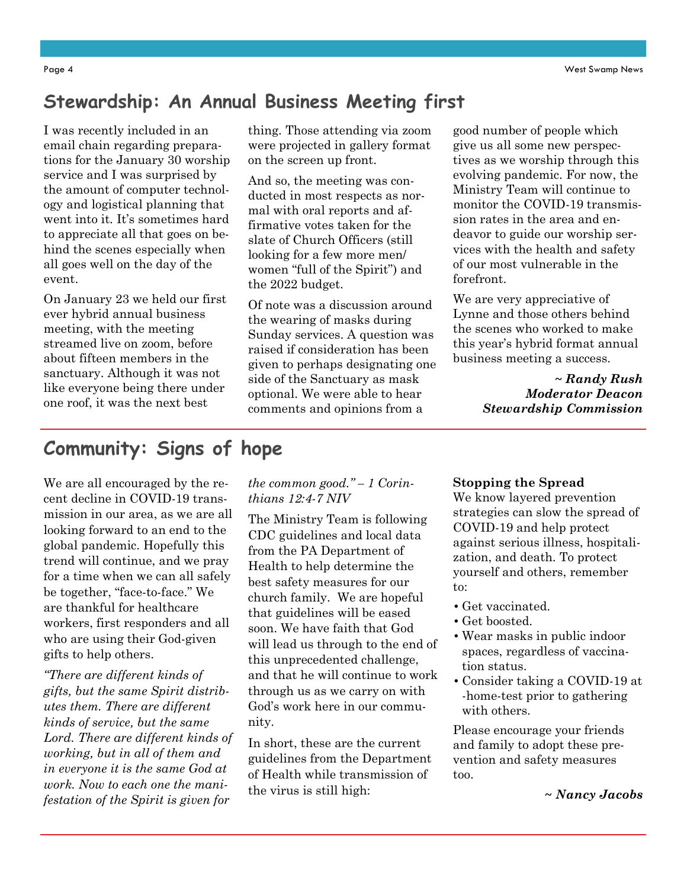#### **Stewardship: An Annual Business Meeting first**

I was recently included in an email chain regarding preparations for the January 30 worship service and I was surprised by the amount of computer technology and logistical planning that went into it. It's sometimes hard to appreciate all that goes on behind the scenes especially when all goes well on the day of the event.

On January 23 we held our first ever hybrid annual business meeting, with the meeting streamed live on zoom, before about fifteen members in the sanctuary. Although it was not like everyone being there under one roof, it was the next best

thing. Those attending via zoom were projected in gallery format on the screen up front.

And so, the meeting was conducted in most respects as normal with oral reports and affirmative votes taken for the slate of Church Officers (still looking for a few more men/ women "full of the Spirit") and the 2022 budget.

Of note was a discussion around the wearing of masks during Sunday services. A question was raised if consideration has been given to perhaps designating one side of the Sanctuary as mask optional. We were able to hear comments and opinions from a

good number of people which give us all some new perspectives as we worship through this evolving pandemic. For now, the Ministry Team will continue to monitor the COVID-19 transmission rates in the area and endeavor to guide our worship services with the health and safety of our most vulnerable in the forefront.

We are very appreciative of Lynne and those others behind the scenes who worked to make this year's hybrid format annual business meeting a success.

> *~ Randy Rush Moderator Deacon Stewardship Commission*

## **Community: Signs of hope**

We are all encouraged by the recent decline in COVID-19 transmission in our area, as we are all looking forward to an end to the global pandemic. Hopefully this trend will continue, and we pray for a time when we can all safely be together, "face-to-face." We are thankful for healthcare workers, first responders and all who are using their God-given gifts to help others.

*"There are different kinds of gifts, but the same Spirit distributes them. There are different kinds of service, but the same Lord. There are different kinds of working, but in all of them and in everyone it is the same God at work. Now to each one the manifestation of the Spirit is given for* 

*the common good." – 1 Corinthians 12:4-7 NIV* 

The Ministry Team is following CDC guidelines and local data from the PA Department of Health to help determine the best safety measures for our church family. We are hopeful that guidelines will be eased soon. We have faith that God will lead us through to the end of this unprecedented challenge, and that he will continue to work through us as we carry on with God's work here in our community.

In short, these are the current guidelines from the Department of Health while transmission of the virus is still high:

#### **Stopping the Spread**

We know layered prevention strategies can slow the spread of COVID-19 and help protect against serious illness, hospitalization, and death. To protect yourself and others, remember to:

- Get vaccinated.
- Get boosted.
- Wear masks in public indoor spaces, regardless of vaccination status.
- Consider taking a COVID-19 at -home-test prior to gathering with others.

Please encourage your friends and family to adopt these prevention and safety measures too.

*~ Nancy Jacobs*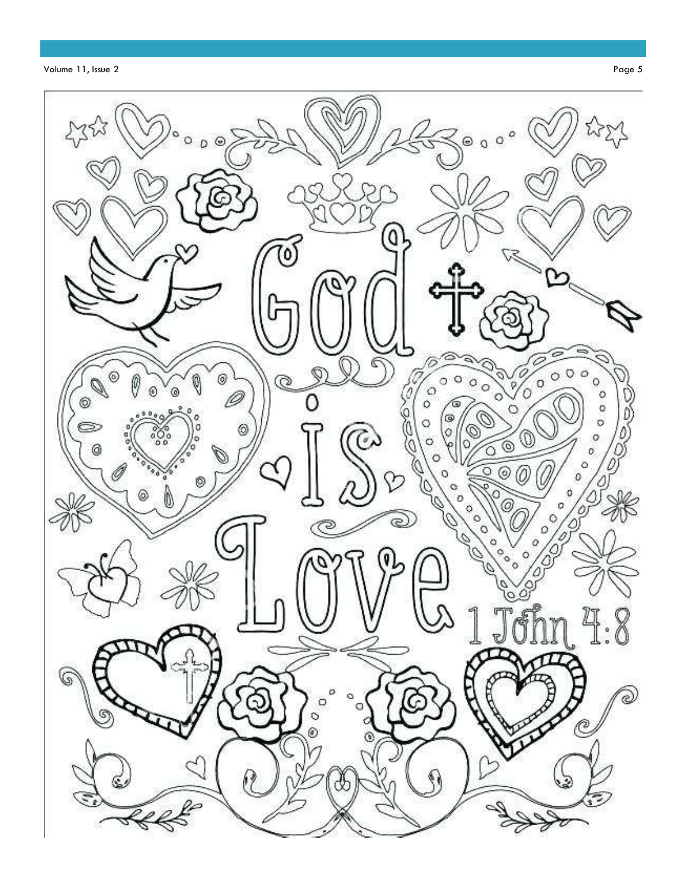